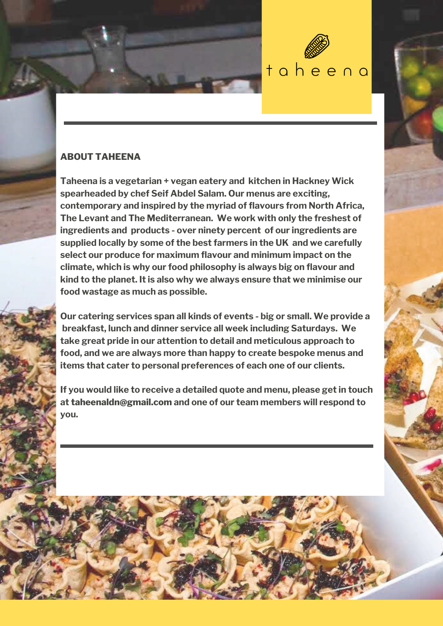

# **ABOUT TAHEENA**

**Taheena is a vegetarian + vegan eatery and kitchen in Hackney Wick spearheaded by chef Seif Abdel Salam. Our menus are exciting, contemporary and inspired by the myriad of flavours from North Africa, The Levant and The Mediterranean. We work with only the freshest of ingredients and products - over ninety percent of our ingredients are supplied locally by some of the best farmers in the UK and we carefully select our produce for maximum flavour and minimum impact on the climate, which is why our food philosophy is always big on flavour and kind to the planet. It is also why we always ensure that we minimise our food wastage as much as possible.**

**Our catering services span all kinds of events - big or small. We provide a breakfast, lunch and dinner service all week including Saturdays. We take great pride in our attention to detail and meticulous approach to food, and we are always more than happy to create bespoke menus and items that cater to personal preferences of each one of our clients.**

**If you would like to receive a detailed quote and menu, please get in touch at taheenaldn@gmail.com and one of our team members will respond to you.**